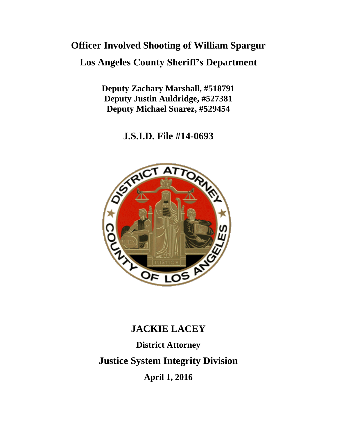# **Officer Involved Shooting of William Spargur**

**Los Angeles County Sheriff's Department**

**Deputy Zachary Marshall, #518791 Deputy Justin Auldridge, #527381 Deputy Michael Suarez, #529454**

**J.S.I.D. File #14-0693**



## **JACKIE LACEY**

**District Attorney Justice System Integrity Division April 1, 2016**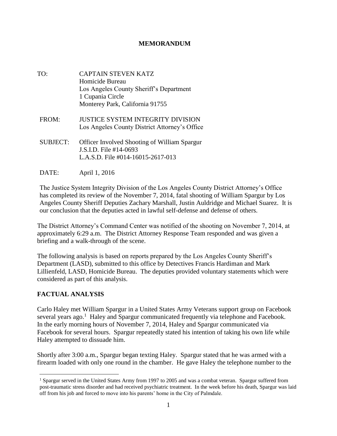#### **MEMORANDUM**

- TO: CAPTAIN STEVEN KATZ Homicide Bureau Los Angeles County Sheriff's Department 1 Cupania Circle Monterey Park, California 91755
- FROM: JUSTICE SYSTEM INTEGRITY DIVISION Los Angeles County District Attorney's Office
- SUBJECT: Officer Involved Shooting of William Spargur J.S.I.D. File #14-0693 L.A.S.D. File #014-16015-2617-013
- DATE: April 1, 2016

The Justice System Integrity Division of the Los Angeles County District Attorney's Office has completed its review of the November 7, 2014, fatal shooting of William Spargur by Los Angeles County Sheriff Deputies Zachary Marshall, Justin Auldridge and Michael Suarez. It is our conclusion that the deputies acted in lawful self-defense and defense of others.

The District Attorney's Command Center was notified of the shooting on November 7, 2014, at approximately 6:29 a.m. The District Attorney Response Team responded and was given a briefing and a walk-through of the scene.

The following analysis is based on reports prepared by the Los Angeles County Sheriff's Department (LASD), submitted to this office by Detectives Francis Hardiman and Mark Lillienfeld, LASD, Homicide Bureau. The deputies provided voluntary statements which were considered as part of this analysis.

### **FACTUAL ANALYSIS**

 $\overline{a}$ 

Carlo Haley met William Spargur in a United States Army Veterans support group on Facebook several years ago.<sup>1</sup> Haley and Spargur communicated frequently via telephone and Facebook. In the early morning hours of November 7, 2014, Haley and Spargur communicated via Facebook for several hours. Spargur repeatedly stated his intention of taking his own life while Haley attempted to dissuade him.

Shortly after 3:00 a.m., Spargur began texting Haley. Spargur stated that he was armed with a firearm loaded with only one round in the chamber. He gave Haley the telephone number to the

<sup>1</sup> Spargur served in the United States Army from 1997 to 2005 and was a combat veteran. Spargur suffered from post-traumatic stress disorder and had received psychiatric treatment. In the week before his death, Spargur was laid off from his job and forced to move into his parents' home in the City of Palmdale.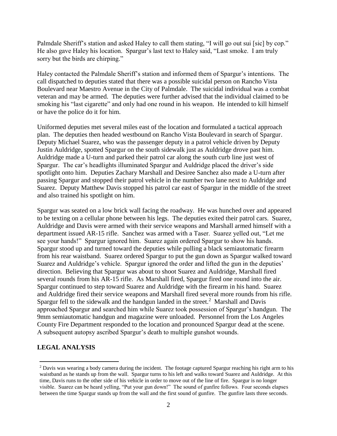Palmdale Sheriff's station and asked Haley to call them stating, "I will go out sui [sic] by cop." He also gave Haley his location. Spargur's last text to Haley said, "Last smoke. I am truly sorry but the birds are chirping."

Haley contacted the Palmdale Sheriff's station and informed them of Spargur's intentions. The call dispatched to deputies stated that there was a possible suicidal person on Rancho Vista Boulevard near Maestro Avenue in the City of Palmdale. The suicidal individual was a combat veteran and may be armed. The deputies were further advised that the individual claimed to be smoking his "last cigarette" and only had one round in his weapon. He intended to kill himself or have the police do it for him.

Uniformed deputies met several miles east of the location and formulated a tactical approach plan. The deputies then headed westbound on Rancho Vista Boulevard in search of Spargur. Deputy Michael Suarez, who was the passenger deputy in a patrol vehicle driven by Deputy Justin Auldridge, spotted Spargur on the south sidewalk just as Auldridge drove past him. Auldridge made a U-turn and parked their patrol car along the south curb line just west of Spargur. The car's headlights illuminated Spargur and Auldridge placed the driver's side spotlight onto him. Deputies Zachary Marshall and Desiree Sanchez also made a U-turn after passing Spargur and stopped their patrol vehicle in the number two lane next to Auldridge and Suarez. Deputy Matthew Davis stopped his patrol car east of Spargur in the middle of the street and also trained his spotlight on him.

Spargur was seated on a low brick wall facing the roadway. He was hunched over and appeared to be texting on a cellular phone between his legs. The deputies exited their patrol cars. Suarez, Auldridge and Davis were armed with their service weapons and Marshall armed himself with a department issued AR-15 rifle. Sanchez was armed with a Taser. Suarez yelled out, "Let me see your hands!" Spargur ignored him. Suarez again ordered Spargur to show his hands. Spargur stood up and turned toward the deputies while pulling a black semiautomatic firearm from his rear waistband. Suarez ordered Spargur to put the gun down as Spargur walked toward Suarez and Auldridge's vehicle. Spargur ignored the order and lifted the gun in the deputies' direction. Believing that Spargur was about to shoot Suarez and Auldridge, Marshall fired several rounds from his AR-15 rifle. As Marshall fired, Spargur fired one round into the air. Spargur continued to step toward Suarez and Auldridge with the firearm in his hand. Suarez and Auldridge fired their service weapons and Marshall fired several more rounds from his rifle. Spargur fell to the sidewalk and the handgun landed in the street.<sup>2</sup> Marshall and Davis approached Spargur and searched him while Suarez took possession of Spargur's handgun. The 9mm semiautomatic handgun and magazine were unloaded. Personnel from the Los Angeles County Fire Department responded to the location and pronounced Spargur dead at the scene. A subsequent autopsy ascribed Spargur's death to multiple gunshot wounds.

#### **LEGAL ANALYSIS**

 $\overline{a}$ 

 $<sup>2</sup>$  Davis was wearing a body camera during the incident. The footage captured Spargur reaching his right arm to his</sup> waistband as he stands up from the wall. Spargur turns to his left and walks toward Suarez and Auldridge. At this time, Davis runs to the other side of his vehicle in order to move out of the line of fire. Spargur is no longer visible. Suarez can be heard yelling, "Put your gun down!" The sound of gunfire follows. Four seconds elapses between the time Spargur stands up from the wall and the first sound of gunfire. The gunfire lasts three seconds.